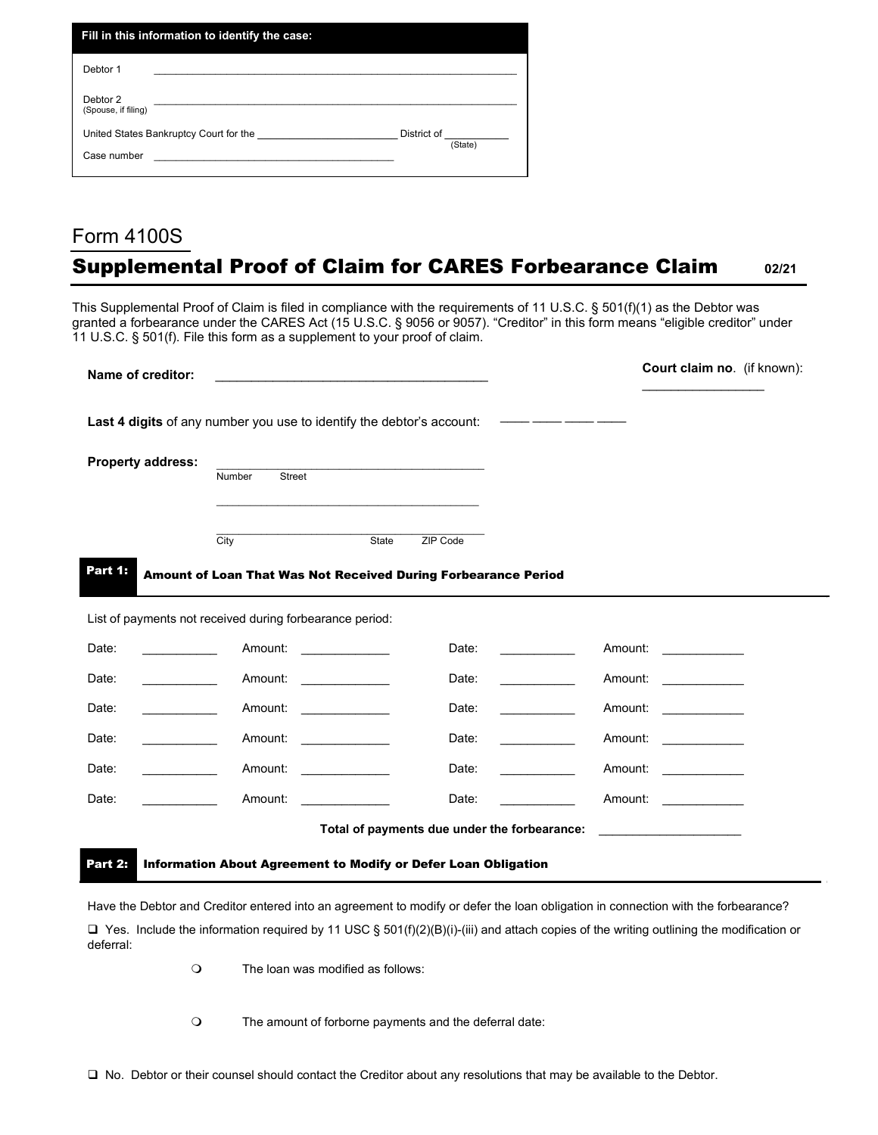| Fill in this information to identify the case: |             |
|------------------------------------------------|-------------|
| Debtor 1                                       |             |
| Debtor 2<br>(Spouse, if filing)                |             |
| United States Bankruptcy Court for the         | District of |
| Case number                                    | (State)     |

## Form 4100S Supplemental Proof of Claim for CARES Forbearance Claim **02/21**

This Supplemental Proof of Claim is filed in compliance with the requirements of 11 U.S.C. § 501(f)(1) as the Debtor was granted a forbearance under the CARES Act (15 U.S.C. § 9056 or 9057). "Creditor" in this form means "eligible creditor" under 11 U.S.C. § 501(f). File this form as a supplement to your proof of claim.

| Name of creditor:                                                     |                                                                                                                                                                                                                                |                                                                                                                                                                                                                               |                                              |                                                                                                                       | Court claim no. (if known):                                                                                        |  |  |
|-----------------------------------------------------------------------|--------------------------------------------------------------------------------------------------------------------------------------------------------------------------------------------------------------------------------|-------------------------------------------------------------------------------------------------------------------------------------------------------------------------------------------------------------------------------|----------------------------------------------|-----------------------------------------------------------------------------------------------------------------------|--------------------------------------------------------------------------------------------------------------------|--|--|
| Last 4 digits of any number you use to identify the debtor's account: |                                                                                                                                                                                                                                |                                                                                                                                                                                                                               |                                              | <u> The Common School (1989) – se provincia popular provincia popular popular popular popular popular popular pop</u> |                                                                                                                    |  |  |
| <b>Property address:</b>                                              |                                                                                                                                                                                                                                |                                                                                                                                                                                                                               |                                              |                                                                                                                       |                                                                                                                    |  |  |
|                                                                       | Street<br>Number                                                                                                                                                                                                               |                                                                                                                                                                                                                               |                                              |                                                                                                                       |                                                                                                                    |  |  |
|                                                                       |                                                                                                                                                                                                                                | the control of the control of the control of the control of the control of the control of the control of the control of the control of the control of the control of the control of the control of the control of the control |                                              |                                                                                                                       |                                                                                                                    |  |  |
|                                                                       | City                                                                                                                                                                                                                           | State                                                                                                                                                                                                                         | ZIP Code                                     |                                                                                                                       |                                                                                                                    |  |  |
| Part 1:                                                               | Amount of Loan That Was Not Received During Forbearance Period                                                                                                                                                                 |                                                                                                                                                                                                                               |                                              |                                                                                                                       |                                                                                                                    |  |  |
| List of payments not received during forbearance period:              |                                                                                                                                                                                                                                |                                                                                                                                                                                                                               |                                              |                                                                                                                       |                                                                                                                    |  |  |
| Date:                                                                 | Amount: Amount:                                                                                                                                                                                                                |                                                                                                                                                                                                                               | Date:                                        |                                                                                                                       | Amount: <u>_________</u>                                                                                           |  |  |
| Date:                                                                 | Amount: Amount: Amount: Amount: Amount: Amount: Amount: Amount: Amount: Amount: Amount: Amount: Amount: Amount: Amount: Amount: Amount: Amount: Amount: Amount: Amount: Amount: Amount: Amount: Amount: Amount: Amount: Amount |                                                                                                                                                                                                                               | Date:                                        |                                                                                                                       | Amount: <u>______________</u>                                                                                      |  |  |
| Date:                                                                 | Amount:                                                                                                                                                                                                                        |                                                                                                                                                                                                                               | Date:                                        |                                                                                                                       | Amount:                                                                                                            |  |  |
| Date:                                                                 | Amount:                                                                                                                                                                                                                        |                                                                                                                                                                                                                               | Date:                                        |                                                                                                                       | Amount:                                                                                                            |  |  |
| Date:                                                                 | Amount: Amount: Amount: Amount: Amount: Amount: Amount: Amount: Amount: Amount: Amount: Amount: Amount: Amount: Amount: Amount: Amount: Amount: Amount: Amount: Amount: Amount: Amount: Amount: Amount: Amount: Amount: Amount |                                                                                                                                                                                                                               | Date:                                        |                                                                                                                       | Amount: Amount:                                                                                                    |  |  |
| Date:                                                                 | Amount:                                                                                                                                                                                                                        |                                                                                                                                                                                                                               | Date:                                        |                                                                                                                       | Amount: Amount:                                                                                                    |  |  |
|                                                                       |                                                                                                                                                                                                                                |                                                                                                                                                                                                                               | Total of payments due under the forbearance: |                                                                                                                       | <u> 1986 - Jan Stein Harry Harry Harry Harry Harry Harry Harry Harry Harry Harry Harry Harry Harry Harry Harry</u> |  |  |
| Part 2:                                                               | Information About Agreement to Modify or Defer Loan Obligation                                                                                                                                                                 |                                                                                                                                                                                                                               |                                              |                                                                                                                       |                                                                                                                    |  |  |

Have the Debtor and Creditor entered into an agreement to modify or defer the loan obligation in connection with the forbearance?

 $\Box$  Yes. Include the information required by 11 USC § 501(f)(2)(B)(i)-(iii) and attach copies of the writing outlining the modification or deferral:

The loan was modified as follows:

The amount of forborne payments and the deferral date: